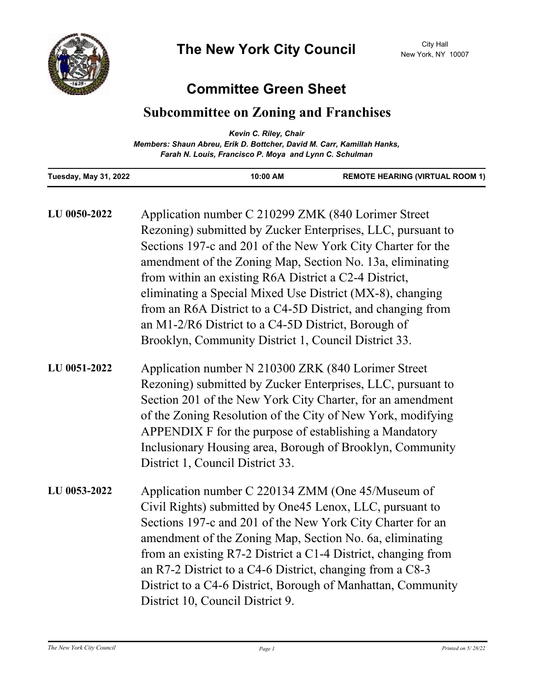

## **Committee Green Sheet**

## **Subcommittee on Zoning and Franchises**

|                                                                        | Kevin C. Riley, Chair                                  |                                        |
|------------------------------------------------------------------------|--------------------------------------------------------|----------------------------------------|
| Members: Shaun Abreu, Erik D. Bottcher, David M. Carr, Kamillah Hanks, |                                                        |                                        |
|                                                                        | Farah N. Louis, Francisco P. Moya and Lynn C. Schulman |                                        |
| Tuesday, May 31, 2022                                                  | 10:00 AM                                               | <b>REMOTE HEARING (VIRTUAL ROOM 1)</b> |

| LU 0050-2022 | Application number C 210299 ZMK (840 Lorimer Street<br>Rezoning) submitted by Zucker Enterprises, LLC, pursuant to<br>Sections 197-c and 201 of the New York City Charter for the<br>amendment of the Zoning Map, Section No. 13a, eliminating<br>from within an existing R6A District a C2-4 District,<br>eliminating a Special Mixed Use District (MX-8), changing<br>from an R6A District to a C4-5D District, and changing from<br>an M1-2/R6 District to a C4-5D District, Borough of<br>Brooklyn, Community District 1, Council District 33. |
|--------------|----------------------------------------------------------------------------------------------------------------------------------------------------------------------------------------------------------------------------------------------------------------------------------------------------------------------------------------------------------------------------------------------------------------------------------------------------------------------------------------------------------------------------------------------------|
| LU 0051-2022 | Application number N 210300 ZRK (840 Lorimer Street<br>Rezoning) submitted by Zucker Enterprises, LLC, pursuant to<br>Section 201 of the New York City Charter, for an amendment<br>of the Zoning Resolution of the City of New York, modifying<br>APPENDIX F for the purpose of establishing a Mandatory<br>Inclusionary Housing area, Borough of Brooklyn, Community<br>District 1, Council District 33.                                                                                                                                         |
| LU 0053-2022 | Application number C 220134 ZMM (One 45/Museum of<br>Civil Rights) submitted by One45 Lenox, LLC, pursuant to<br>Sections 197-c and 201 of the New York City Charter for an<br>amendment of the Zoning Map, Section No. 6a, eliminating<br>from an existing R7-2 District a C1-4 District, changing from<br>an R7-2 District to a C4-6 District, changing from a $C8-3$<br>District to a C4-6 District, Borough of Manhattan, Community<br>District 10, Council District 9.                                                                        |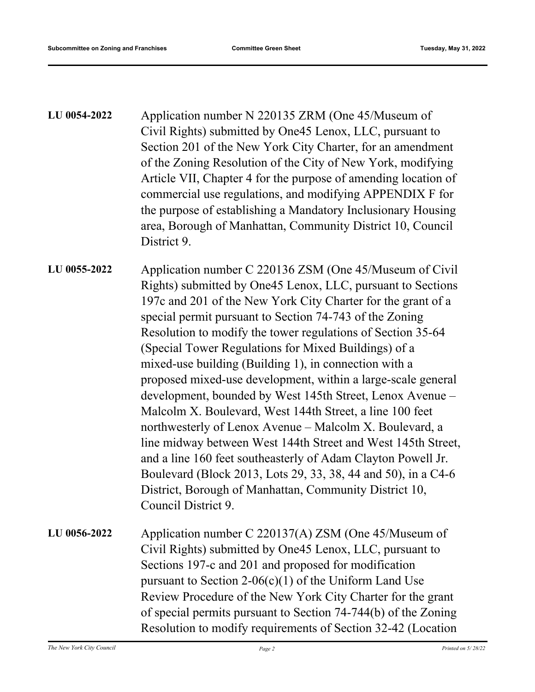| LU 0054-2022 | Application number N 220135 ZRM (One 45/Museum of              |
|--------------|----------------------------------------------------------------|
|              | Civil Rights) submitted by One45 Lenox, LLC, pursuant to       |
|              | Section 201 of the New York City Charter, for an amendment     |
|              | of the Zoning Resolution of the City of New York, modifying    |
|              | Article VII, Chapter 4 for the purpose of amending location of |
|              | commercial use regulations, and modifying APPENDIX F for       |
|              | the purpose of establishing a Mandatory Inclusionary Housing   |
|              | area, Borough of Manhattan, Community District 10, Council     |
|              | District 9.                                                    |

Application number C 220136 ZSM (One 45/Museum of Civil Rights) submitted by One45 Lenox, LLC, pursuant to Sections 197c and 201 of the New York City Charter for the grant of a special permit pursuant to Section 74-743 of the Zoning Resolution to modify the tower regulations of Section 35-64 (Special Tower Regulations for Mixed Buildings) of a mixed-use building (Building 1), in connection with a proposed mixed-use development, within a large-scale general development, bounded by West 145th Street, Lenox Avenue – Malcolm X. Boulevard, West 144th Street, a line 100 feet northwesterly of Lenox Avenue – Malcolm X. Boulevard, a line midway between West 144th Street and West 145th Street, and a line 160 feet southeasterly of Adam Clayton Powell Jr. Boulevard (Block 2013, Lots 29, 33, 38, 44 and 50), in a C4-6 District, Borough of Manhattan, Community District 10, Council District 9. **LU 0055-2022**

Application number C 220137(A) ZSM (One 45/Museum of Civil Rights) submitted by One45 Lenox, LLC, pursuant to Sections 197-c and 201 and proposed for modification pursuant to Section 2-06(c)(1) of the Uniform Land Use Review Procedure of the New York City Charter for the grant of special permits pursuant to Section 74-744(b) of the Zoning Resolution to modify requirements of Section 32-42 (Location **LU 0056-2022**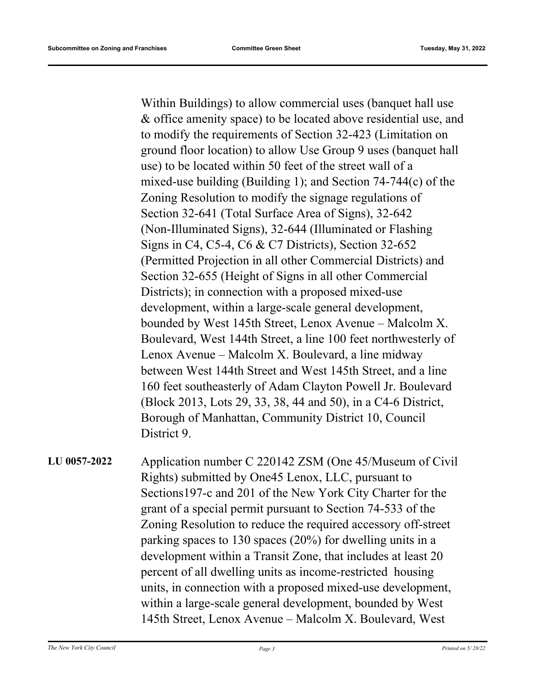Within Buildings) to allow commercial uses (banquet hall use & office amenity space) to be located above residential use, and to modify the requirements of Section 32-423 (Limitation on ground floor location) to allow Use Group 9 uses (banquet hall use) to be located within 50 feet of the street wall of a mixed-use building (Building 1); and Section 74-744(c) of the Zoning Resolution to modify the signage regulations of Section 32-641 (Total Surface Area of Signs), 32-642 (Non-Illuminated Signs), 32-644 (Illuminated or Flashing Signs in C4, C5-4, C6 & C7 Districts), Section 32-652 (Permitted Projection in all other Commercial Districts) and Section 32-655 (Height of Signs in all other Commercial Districts); in connection with a proposed mixed-use development, within a large-scale general development, bounded by West 145th Street, Lenox Avenue – Malcolm X. Boulevard, West 144th Street, a line 100 feet northwesterly of Lenox Avenue – Malcolm X. Boulevard, a line midway between West 144th Street and West 145th Street, and a line 160 feet southeasterly of Adam Clayton Powell Jr. Boulevard (Block 2013, Lots 29, 33, 38, 44 and 50), in a C4-6 District, Borough of Manhattan, Community District 10, Council District 9.

Application number C 220142 ZSM (One 45/Museum of Civil Rights) submitted by One45 Lenox, LLC, pursuant to Sections197-c and 201 of the New York City Charter for the grant of a special permit pursuant to Section 74-533 of the Zoning Resolution to reduce the required accessory off-street parking spaces to 130 spaces (20%) for dwelling units in a development within a Transit Zone, that includes at least 20 percent of all dwelling units as income-restricted housing units, in connection with a proposed mixed-use development, within a large-scale general development, bounded by West 145th Street, Lenox Avenue – Malcolm X. Boulevard, West **LU 0057-2022**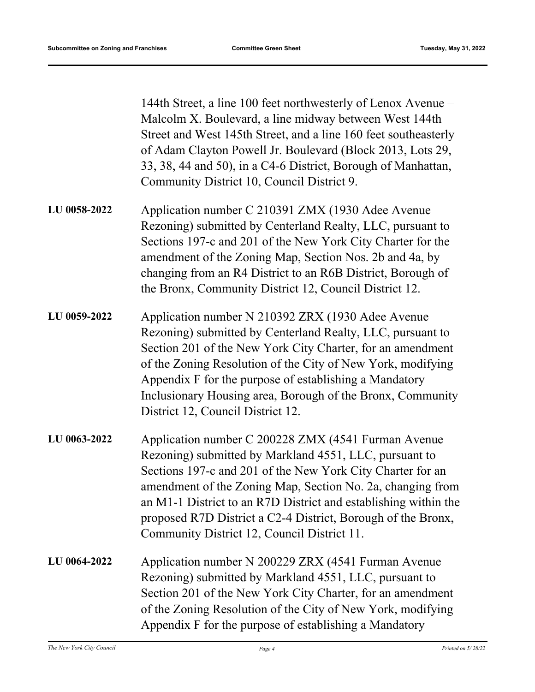144th Street, a line 100 feet northwesterly of Lenox Avenue – Malcolm X. Boulevard, a line midway between West 144th Street and West 145th Street, and a line 160 feet southeasterly of Adam Clayton Powell Jr. Boulevard (Block 2013, Lots 29, 33, 38, 44 and 50), in a C4-6 District, Borough of Manhattan, Community District 10, Council District 9.

- Application number C 210391 ZMX (1930 Adee Avenue Rezoning) submitted by Centerland Realty, LLC, pursuant to Sections 197-c and 201 of the New York City Charter for the amendment of the Zoning Map, Section Nos. 2b and 4a, by changing from an R4 District to an R6B District, Borough of the Bronx, Community District 12, Council District 12. **LU 0058-2022**
- Application number N 210392 ZRX (1930 Adee Avenue Rezoning) submitted by Centerland Realty, LLC, pursuant to Section 201 of the New York City Charter, for an amendment of the Zoning Resolution of the City of New York, modifying Appendix F for the purpose of establishing a Mandatory Inclusionary Housing area, Borough of the Bronx, Community District 12, Council District 12. **LU 0059-2022**
- Application number C 200228 ZMX (4541 Furman Avenue Rezoning) submitted by Markland 4551, LLC, pursuant to Sections 197-c and 201 of the New York City Charter for an amendment of the Zoning Map, Section No. 2a, changing from an M1-1 District to an R7D District and establishing within the proposed R7D District a C2-4 District, Borough of the Bronx, Community District 12, Council District 11. **LU 0063-2022**
- Application number N 200229 ZRX (4541 Furman Avenue Rezoning) submitted by Markland 4551, LLC, pursuant to Section 201 of the New York City Charter, for an amendment of the Zoning Resolution of the City of New York, modifying Appendix F for the purpose of establishing a Mandatory **LU 0064-2022**